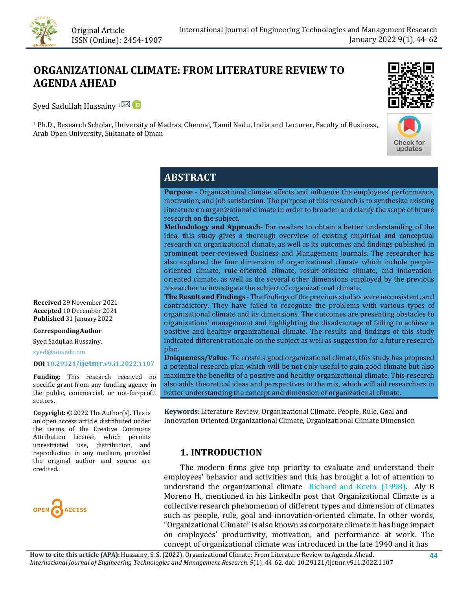

# **ORGANIZATIONAL CLIMATE: FROM LITERATURE REVIEW TO AGENDA AHEAD**

SyedSadullah Hussainy  $1^{\boxtimes}$  D

<sup>1</sup> Ph.D., Research Scholar, University of Madras, Chennai, Tamil Nadu, India and Lecturer, Faculty of Business, Arab Open University, Sultanate of Oman





# **ABSTRACT**

**Purpose** - Organizational climate affects and influence the employees' performance, motivation, and job satisfaction. The purpose of this research is to synthesize existing literature on organizational climate in order to broaden and clarify the scope of future research on the subject.

**Methodology and Approach**- For readers to obtain a better understanding of the idea, this study gives a thorough overview of existing empirical and conceptual research on organizational climate, as well as its outcomes and findings published in prominent peer-reviewed Business and Management Journals. The researcher has also explored the four dimension of organizational climate which include peopleoriented climate, rule-oriented climate, result-oriented climate, and innovationoriented climate, as well as the several other dimensions employed by the previous researcher to investigate the subject of organizational climate.

**The Result and Findings** - The findings of the previous studies were inconsistent, and contradictory. They have failed to recognize the problems with various types of organizational climate and its dimensions. The outcomes are presenting obstacles to organizations' management and highlighting the disadvantage of failing to achieve a positive and healthy organizational climate. The results and findings of this study indicated different rationale on the subject as well as suggestion for a future research plan.

**Uniqueness/Value**- To create a good organizational climate, this study has proposed a potential research plan which will be not only useful to gain good climate but also maximize the benefits of a positive and healthy organizational climate. This research also adds theoretical ideas and perspectives to the mix, which will aid researchers in better understanding the concept and dimension of organizational climate.

**Keywords:** Literature Review, Organizational Climate, People, Rule, Goal and Innovation Oriented Organizational Climate, Organizational Climate Dimension

# **1. INTRODUCTION**

 The modern firms give top priority to evaluate and understand their employees' behavior and activities and this has brought a lot of attention to understand the organizational climate [Richard and Kevin. \(1998\).](#page-13-0) Aly B Moreno H., mentioned in his LinkedIn post that Organizational Climate is a collective research phenomenon of different types and dimension of climates such as people, rule, goal and innovation-oriented climate. In other words, "Organizational Climate" is also known as corporate climate it has huge impact on employees' productivity, motivation, and performance at work. The concept of organizational climate was introduced in the late 1940 and it has

**Received** 29 November 2021 **Accepted** 10 December 2021 **Published** 31 January 2022

#### **CorrespondingAuthor**

Syed Sadullah Hussainy,

syed@aou.edu.om

#### **DO[I 10.29121/ijetmr.v9.i1.2022.1107](https://dx.doi.org/10.29121/ijetmr.v9.i1.2022.1107)**

**Funding:** This research received no specific grant from any funding agency in the public, commercial, or not-for-profit sectors.

**Copyright:** © 2022 The Author(s). This is an open access article distributed under the terms of the Creative Commons Attribution License, which permits unrestricted use, distribution, and reproduction in any medium, provided the original author and source are credited.

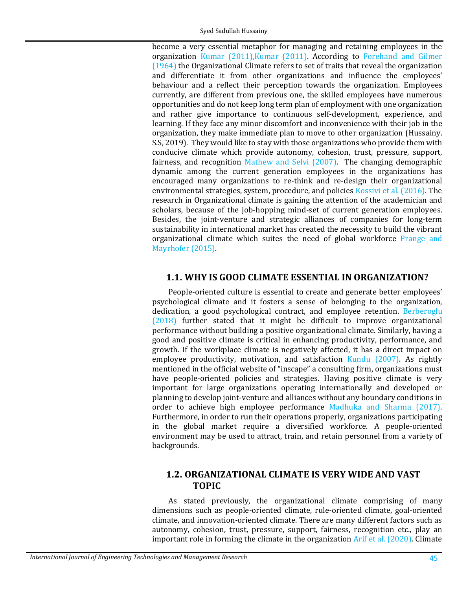become a very essential metaphor for managing and retaining employees in the organization [Kumar \(2011\),Kumar \(2011\).](#page-18-0) According to [Forehand and Gilmer](#page-14-0)  [\(1964\)](#page-14-0) the Organizational Climate refers to set of traits that reveal the organization and differentiate it from other organizations and influence the employees' behaviour and a reflect their perception towards the organization. Employees currently, are different from previous one, the skilled employees have numerous opportunities and do not keep long term plan of employment with one organization and rather give importance to continuous self-development, experience, and learning. If they face any minor discomfort and inconvenience with their job in the organization, they make immediate plan to move to other organization (Hussainy. S.S, 2019). They would like to stay with those organizations who provide them with conducive climate which provide autonomy, cohesion, trust, pressure, support, fairness, and recognition [Mathew and Selvi \(2007\).](#page-16-0) The changing demographic dynamic among the current generation employees in the organizations has encouraged many organizations to re-think and re-design their organizational environmental strategies, system, procedure, and policies [Kossivi et al. \(2016\).](#page-15-0) The research in Organizational climate is gaining the attention of the academician and scholars, because of the job-hopping mind-set of current generation employees. Besides, the joint-venture and strategic alliances of companies for long-term sustainability in international market has created the necessity to build the vibrant organizational climate which suites the need of global workforce [Prange and](#page-17-0)  [Mayrhofer \(2015\).](#page-17-0) 

### **1.1. WHY IS GOOD CLIMATE ESSENTIAL IN ORGANIZATION?**

People-oriented culture is essential to create and generate better employees' psychological climate and it fosters a sense of belonging to the organization, dedication, a good psychological contract, and employee retention. [Berberoglu](#page-13-1)  [\(2018\)](#page-13-1) further stated that it might be difficult to improve organizational performance without building a positive organizational climate. Similarly, having a good and positive climate is critical in enhancing productivity, performance, and growth. If the workplace climate is negatively affected, it has a direct impact on employee productivity, motivation, and satisfaction [Kundu \(2007\).](#page-15-1) As rightly mentioned in the official website of "inscape" a consulting firm, organizations must have people-oriented policies and strategies. Having positive climate is very important for large organizations operating internationally and developed or planning to develop joint-venture and alliances without any boundary conditions in order to achieve high employee performance [Madhuka and Sharma \(2017\).](#page-15-2) Furthermore, in order to run their operations properly, organizations participating in the global market require a diversified workforce. A people-oriented environment may be used to attract, train, and retain personnel from a variety of backgrounds.

## **1.2. ORGANIZATIONAL CLIMATE IS VERY WIDE AND VAST TOPIC**

As stated previously, the organizational climate comprising of many dimensions such as people-oriented climate, rule-oriented climate, goal-oriented climate, and innovation-oriented climate. There are many different factors such as autonomy, cohesion, trust, pressure, support, fairness, recognition etc., play an important role in forming the climate in the organization [Arif et al. \(2020\).](#page-13-2) Climate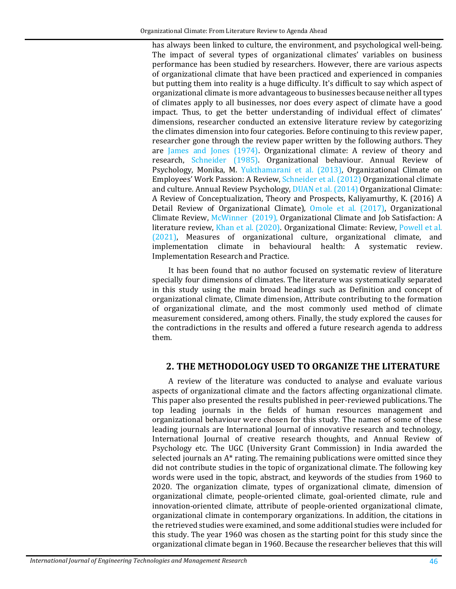has always been linked to culture, the environment, and psychological well-being. The impact of several types of organizational climates' variables on business performance has been studied by researchers. However, there are various aspects of organizational climate that have been practiced and experienced in companies but putting them into reality is a huge difficulty. It's difficult to say which aspect of organizational climate is more advantageous to businesses because neither all types of climates apply to all businesses, nor does every aspect of climate have a good impact. Thus, to get the better understanding of individual effect of climates' dimensions, researcher conducted an extensive literature review by categorizing the climates dimension into four categories. Before continuing to this review paper, researcher gone through the review paper written by the following authors. They are [James and Jones \(1974\).](#page-15-3) Organizational climate: A review of theory and research, [Schneider \(1985\).](#page-17-1) Organizational behaviour. Annual Review of Psychology, Monika, M. [Yukthamarani](#page-16-1) et al. (2013), Organizational Climate on Employees' Work Passion: A Review[, Schneider et al. \(2012\)](#page-17-2) Organizational climate and culture. Annual Review Psychology, [DUAN et al. \(2014\)](#page-14-1) Organizational Climate: A Review of Conceptualization, Theory and Prospects, Kaliyamurthy, K. (2016) A Detail Review of Organizational Climate), [Omole et al. \(2017\),](#page-16-2) Organizational Climate Review, [McWinner \(2019\),](#page-16-3) Organizational Climate and Job Satisfaction: A literature review, [Khan et al. \(2020\).](#page-15-4) Organizational Climate: Review, [Powell et al.](#page-17-3)  [\(2021\),](#page-17-3) Measures of organizational culture, organizational climate, and implementation climate in behavioural health: A systematic review. Implementation Research and Practice.

It has been found that no author focused on systematic review of literature specially four dimensions of climates. The literature was systematically separated in this study using the main broad headings such as Definition and concept of organizational climate, Climate dimension, Attribute contributing to the formation of organizational climate, and the most commonly used method of climate measurement considered, among others. Finally, the study explored the causes for the contradictions in the results and offered a future research agenda to address them.

### **2. THE METHODOLOGY USED TO ORGANIZE THE LITERATURE**

A review of the literature was conducted to analyse and evaluate various aspects of organizational climate and the factors affecting organizational climate. This paper also presented the results published in peer-reviewed publications. The top leading journals in the fields of human resources management and organizational behaviour were chosen for this study. The names of some of these leading journals are International Journal of innovative research and technology, International Journal of creative research thoughts, and Annual Review of Psychology etc. The UGC (University Grant Commission) in India awarded the selected journals an A\* rating. The remaining publications were omitted since they did not contribute studies in the topic of organizational climate. The following key words were used in the topic, abstract, and keywords of the studies from 1960 to 2020. The organization climate, types of organizational climate, dimension of organizational climate, people-oriented climate, goal-oriented climate, rule and innovation-oriented climate, attribute of people-oriented organizational climate, organizational climate in contemporary organizations. In addition, the citations in the retrieved studies were examined, and some additional studies were included for this study. The year 1960 was chosen as the starting point for this study since the organizational climate began in 1960. Because the researcher believes that this will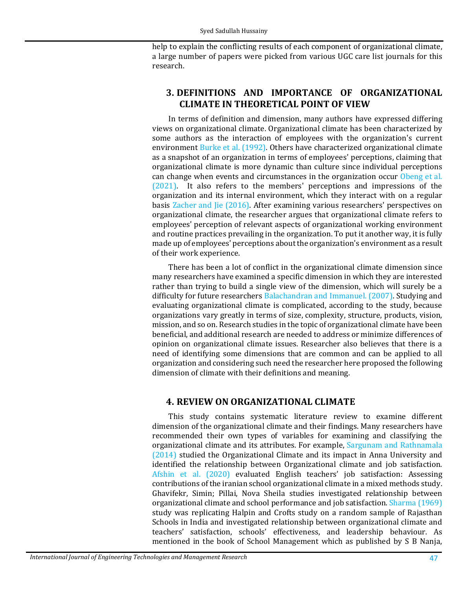help to explain the conflicting results of each component of organizational climate, a large number of papers were picked from various UGC care list journals for this research.

# **3. DEFINITIONS AND IMPORTANCE OF ORGANIZATIONAL CLIMATE IN THEORETICAL POINT OF VIEW**

In terms of definition and dimension, many authors have expressed differing views on organizational climate. Organizational climate has been characterized by some authors as the interaction of employees with the organization's current environment [Burke et al. \(1992\).](#page-13-3) Others have characterized organizational climate as a snapshot of an organization in terms of employees' perceptions, claiming that organizational climate is more dynamic than culture since individual perceptions can change when events and circumstances in the organization occur [Obeng et al.](#page-16-4)  [\(2021\).](#page-16-4) It also refers to the members' perceptions and impressions of the organization and its internal environment, which they interact with on a regular basis [Zacher and Jie \(2016\).](#page-18-1) After examining various researchers' perspectives on organizational climate, the researcher argues that organizational climate refers to employees' perception of relevant aspects of organizational working environment and routine practices prevailing in the organization. To put it another way, it is fully made up of employees' perceptions about the organization's environment as a result of their work experience.

There has been a lot of conflict in the organizational climate dimension since many researchers have examined a specific dimension in which they are interested rather than trying to build a single view of the dimension, which will surely be a difficulty for future researchers [Balachandran and Immanuel. \(2007\).](#page-13-4) Studying and evaluating organizational climate is complicated, according to the study, because organizations vary greatly in terms of size, complexity, structure, products, vision, mission, and so on. Research studies in the topic of organizational climate have been beneficial, and additional research are needed to address or minimize differences of opinion on organizational climate issues. Researcher also believes that there is a need of identifying some dimensions that are common and can be applied to all organization and considering such need the researcher here proposed the following dimension of climate with their definitions and meaning.

# **4. REVIEW ON ORGANIZATIONAL CLIMATE**

This study contains systematic literature review to examine different dimension of the organizational climate and their findings. Many researchers have recommended their own types of variables for examining and classifying the organizational climate and its attributes. For example, [Sargunam and Rathnamala](#page-17-4)  [\(2014\)](#page-17-4) studied the Organizational Climate and its impact in Anna University and identified the relationship between Organizational climate and job satisfaction. [Afshin et al. \(2020\)](#page-13-5) evaluated English teachers' job satisfaction: Assessing contributions of the iranian school organizational climate in a mixed methods study. Ghavifekr, Simin; Pillai, Nova Sheila studies investigated relationship between organizational climate and school performance and job satisfaction. [Sharma \(1969\)](#page-17-5) study was replicating Halpin and Crofts study on a random sample of Rajasthan Schools in India and investigated relationship between organizational climate and teachers' satisfaction, schools' effectiveness, and leadership behaviour. As mentioned in the book of School Management which as published by S B Nanja,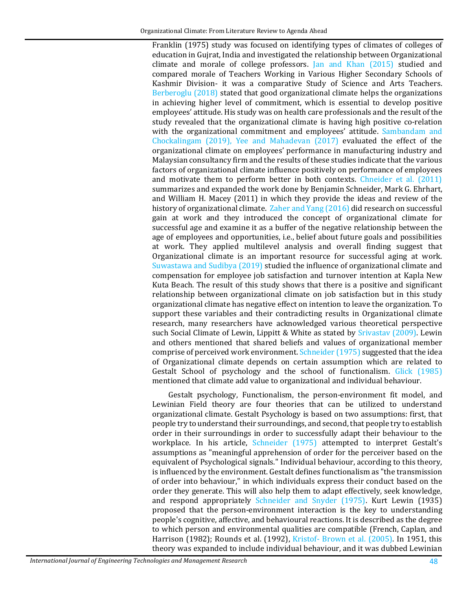Franklin (1975) study was focused on identifying types of climates of colleges of education in Gujrat, India and investigated the relationship between Organizational climate and morale of college professors. [Jan and Khan \(2015\)](#page-15-5) studied and compared morale of Teachers Working in Various Higher Secondary Schools of Kashmir Division- it was a comparative Study of Science and Arts Teachers. [Berberoglu \(2018\)](#page-13-1) stated that good organizational climate helps the organizations in achieving higher level of commitment, which is essential to develop positive employees' attitude. His study was on health care professionals and the result of the study revealed that the organizational climate is having high positive co-relation with the organizational commitment and employees' attitude. Sambandam and [Chockalingam \(2019\),](#page-17-6) [Yee and Mahadevan \(2017\)](#page-18-2) evaluated the effect of the organizational climate on employees' performance in manufacturing industry and Malaysian consultancy firm and the results of these studies indicate that the various factors of organizational climate influence positively on performance of employees and motivate them to perform better in both contexts. [Chneider et al. \(2011\)](#page-14-2) summarizes and expanded the work done by Benjamin Schneider, Mark G. Ehrhart, and William H. Macey (2011) in which they provide the ideas and review of the history of organizational climate[. Zaher and Yang \(2016\)](#page-14-3) did research on successful gain at work and they introduced the concept of organizational climate for successful age and examine it as a buffer of the negative relationship between the age of employees and opportunities, i.e., belief about future goals and possibilities at work. They applied multilevel analysis and overall finding suggest that Organizational climate is an important resource for successful aging at work. [Suwastawa and Sudibya \(2019\)](#page-14-4) studied the influence of organizational climate and compensation for employee job satisfaction and turnover intention at Kapla New Kuta Beach. The result of this study shows that there is a positive and significant relationship between organizational climate on job satisfaction but in this study organizational climate has negative effect on intention to leave the organization. To support these variables and their contradicting results in Organizational climate research, many researchers have acknowledged various theoretical perspective such Social Climate of Lewin, Lippitt & White as stated by [Srivastav \(2009\).](#page-18-3) Lewin and others mentioned that shared beliefs and values of organizational member comprise of perceived work environment[. Schneider \(1975\)](#page-17-7) suggested that the idea of Organizational climate depends on certain assumption which are related to Gestalt School of psychology and the school of functionalism. [Glick \(1985\)](#page-14-5) mentioned that climate add value to organizational and individual behaviour.

Gestalt psychology, Functionalism, the person-environment fit model, and Lewinian Field theory are four theories that can be utilized to understand organizational climate. Gestalt Psychology is based on two assumptions: first, that people try to understand their surroundings, and second, that people try to establish order in their surroundings in order to successfully adapt their behaviour to the workplace. In his article, [Schneider \(1975\)](#page-17-7) attempted to interpret Gestalt's assumptions as "meaningful apprehension of order for the perceiver based on the equivalent of Psychological signals." Individual behaviour, according to this theory, is influenced by the environment. Gestalt defines functionalism as "the transmission of order into behaviour," in which individuals express their conduct based on the order they generate. This will also help them to adapt effectively, seek knowledge, and respond appropriately [Schneider and Snyder \(1975\).](#page-17-8) Kurt Lewin (1935) proposed that the person-environment interaction is the key to understanding people's cognitive, affective, and behavioural reactions. It is described as the degree to which person and environmental qualities are compatible (French, Caplan, and Harrison (1982); Rounds et al. (1992), [Kristof- Brown et al. \(2005\).](#page-15-6) In 1951, this theory was expanded to include individual behaviour, and it was dubbed Lewinian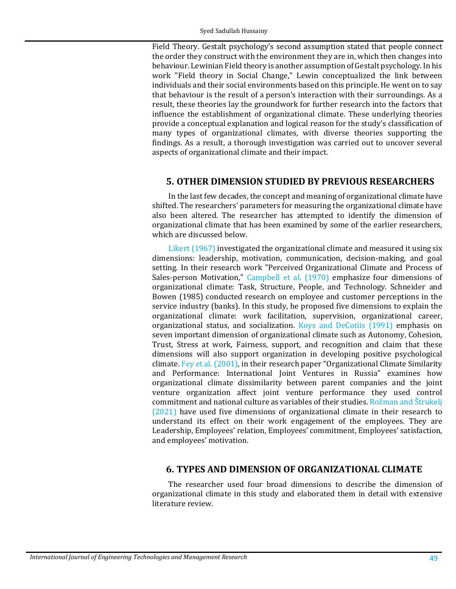Field Theory. Gestalt psychology's second assumption stated that people connect the order they construct with the environment they are in, which then changes into behaviour. Lewinian Field theory is another assumption of Gestalt psychology. In his work "Field theory in Social Change," Lewin conceptualized the link between individuals and their social environments based on this principle. He went on to say that behaviour is the result of a person's interaction with their surroundings. As a result, these theories lay the groundwork for further research into the factors that influence the establishment of organizational climate. These underlying theories provide a conceptual explanation and logical reason for the study's classification of many types of organizational climates, with diverse theories supporting the findings. As a result, a thorough investigation was carried out to uncover several aspects of organizational climate and their impact.

### **5. OTHER DIMENSION STUDIED BY PREVIOUS RESEARCHERS**

In the last few decades, the concept and meaning of organizational climate have shifted. The researchers' parameters for measuring the organizational climate have also been altered. The researcher has attempted to identify the dimension of organizational climate that has been examined by some of the earlier researchers, which are discussed below.

[Likert \(1967\)](#page-15-7) investigated the organizational climate and measured it using six dimensions: leadership, motivation, communication, decision-making, and goal setting. In their research work "Perceived Organizational Climate and Process of Sales-person Motivation," Campbell [et al. \(1970\)](#page-14-6) emphasize four dimensions of organizational climate: Task, Structure, People, and Technology. Schneider and Bowen (1985) conducted research on employee and customer perceptions in the service industry (banks). In this study, he proposed five dimensions to explain the organizational climate: work facilitation, supervision, organizational career, organizational status, and socialization. [Koys and DeCotiis \(1991\)](#page-15-8) emphasis on seven important dimension of organizational climate such as Autonomy, Cohesion, Trust, Stress at work, Fairness, support, and recognition and claim that these dimensions will also support organization in developing positive psychological climate. [Fey et al. \(2001\),](#page-14-7) in their research paper "Organizational Climate Similarity and Performance: International Joint Ventures in Russia" examines how organizational climate dissimilarity between parent companies and the joint venture organization affect joint venture performance they used control commitment and national culture as variables of their studies. [Rožman and Štrukelj](#page-16-5)  [\(2021\)](#page-16-5) have used five dimensions of organizational climate in their research to understand its effect on their work engagement of the employees. They are Leadership, Employees' relation, Employees' commitment, Employees' satisfaction, and employees' motivation.

### **6. TYPES AND DIMENSION OF ORGANIZATIONAL CLIMATE**

The researcher used four broad dimensions to describe the dimension of organizational climate in this study and elaborated them in detail with extensive literature review.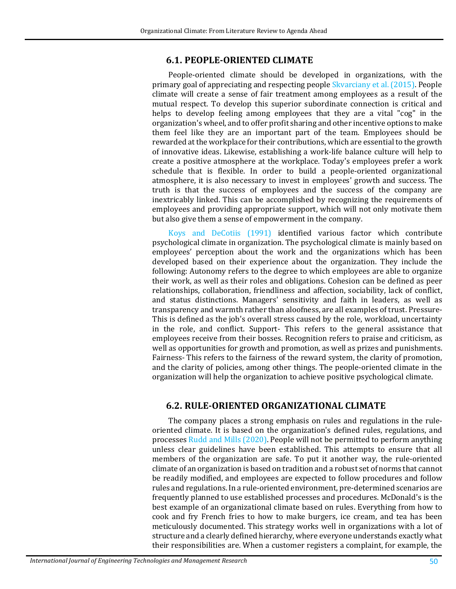### **6.1. PEOPLE-ORIENTED CLIMATE**

People-oriented climate should be developed in organizations, with the primary goal of appreciating and respecting people [Skvarciany et al. \(2015\).](#page-18-4) People climate will create a sense of fair treatment among employees as a result of the mutual respect. To develop this superior subordinate connection is critical and helps to develop feeling among employees that they are a vital "cog" in the organization's wheel, and to offer profit sharing and other incentive options to make them feel like they are an important part of the team. Employees should be rewarded at the workplace for their contributions, which are essential to the growth of innovative ideas. Likewise, establishing a work-life balance culture will help to create a positive atmosphere at the workplace. Today's employees prefer a work schedule that is flexible. In order to build a people-oriented organizational atmosphere, it is also necessary to invest in employees' growth and success. The truth is that the success of employees and the success of the company are inextricably linked. This can be accomplished by recognizing the requirements of employees and providing appropriate support, which will not only motivate them but also give them a sense of empowerment in the company.

Koys and [DeCotiis \(1991\)](#page-15-8) identified various factor which contribute psychological climate in organization. The psychological climate is mainly based on employees' perception about the work and the organizations which has been developed based on their experience about the organization. They include the following: Autonomy refers to the degree to which employees are able to organize their work, as well as their roles and obligations. Cohesion can be defined as peer relationships, collaboration, friendliness and affection, sociability, lack of conflict, and status distinctions. Managers' sensitivity and faith in leaders, as well as transparency and warmth rather than aloofness, are all examples of trust. Pressure-This is defined as the job's overall stress caused by the role, workload, uncertainty in the role, and conflict. Support- This refers to the general assistance that employees receive from their bosses. Recognition refers to praise and criticism, as well as opportunities for growth and promotion, as well as prizes and punishments. Fairness- This refers to the fairness of the reward system, the clarity of promotion, and the clarity of policies, among other things. The people-oriented climate in the organization will help the organization to achieve positive psychological climate.

### **6.2. RULE-ORIENTED ORGANIZATIONAL CLIMATE**

The company places a strong emphasis on rules and regulations in the ruleoriented climate. It is based on the organization's defined rules, regulations, and processes [Rudd and Mills \(2020\).](#page-17-9) People will not be permitted to perform anything unless clear guidelines have been established. This attempts to ensure that all members of the organization are safe. To put it another way, the rule-oriented climate of an organization is based on tradition and a robust set of norms that cannot be readily modified, and employees are expected to follow procedures and follow rules and regulations. In a rule-oriented environment, pre-determined scenarios are frequently planned to use established processes and procedures. McDonald's is the best example of an organizational climate based on rules. Everything from how to cook and fry French fries to how to make burgers, ice cream, and tea has been meticulously documented. This strategy works well in organizations with a lot of structure and a clearly defined hierarchy, where everyone understands exactly what their responsibilities are. When a customer registers a complaint, for example, the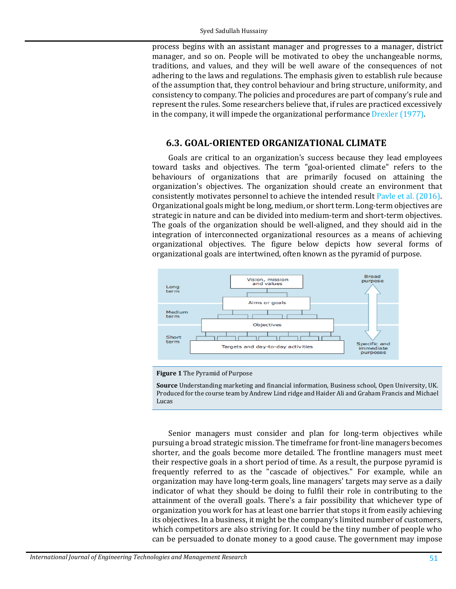process begins with an assistant manager and progresses to a manager, district manager, and so on. People will be motivated to obey the unchangeable norms, traditions, and values, and they will be well aware of the consequences of not adhering to the laws and regulations. The emphasis given to establish rule because of the assumption that, they control behaviour and bring structure, uniformity, and consistency to company. The policies and procedures are part of company's rule and represent the rules. Some researchers believe that, if rules are practiced excessively in the company, it will impede the organizational performance [Drexler \(1977\).](#page-14-8)

### **6.3. GOAL-ORIENTED ORGANIZATIONAL CLIMATE**

Goals are critical to an organization's success because they lead employees toward tasks and objectives. The term "goal-oriented climate" refers to the behaviours of organizations that are primarily focused on attaining the organization's objectives. The organization should create an environment that consistently motivates personnel to achieve the intended result [Pavle et al. \(2016\).](#page-17-10) Organizational goals might be long, medium, or short term. Long-term objectives are strategic in nature and can be divided into medium-term and short-term objectives. The goals of the organization should be well-aligned, and they should aid in the integration of interconnected organizational resources as a means of achieving organizational objectives. The figure below depicts how several forms of organizational goals are intertwined, often known as the pyramid of purpose.



#### **Figure 1** The Pyramid of Purpose

**Source** Understanding marketing and financial information, Business school, Open University, UK. Produced for the course team by Andrew Lind ridge and Haider Ali and Graham Francis and Michael Lucas

Senior managers must consider and plan for long-term objectives while pursuing a broad strategic mission. The timeframe for front-line managers becomes shorter, and the goals become more detailed. The frontline managers must meet their respective goals in a short period of time. As a result, the purpose pyramid is frequently referred to as the "cascade of objectives." For example, while an organization may have long-term goals, line managers' targets may serve as a daily indicator of what they should be doing to fulfil their role in contributing to the attainment of the overall goals. There's a fair possibility that whichever type of organization you work for has at least one barrier that stops it from easily achieving its objectives. In a business, it might be the company's limited number of customers, which competitors are also striving for. It could be the tiny number of people who can be persuaded to donate money to a good cause. The government may impose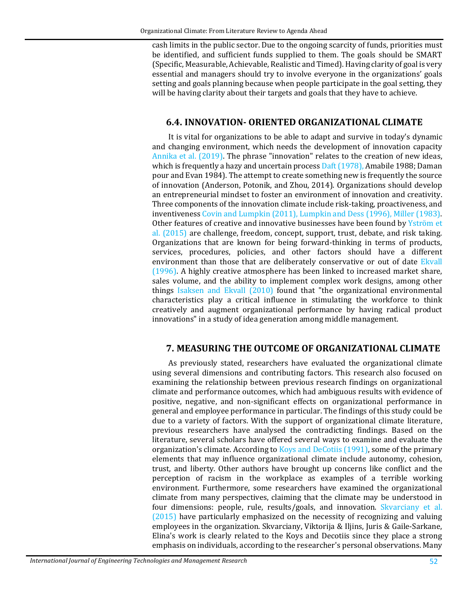cash limits in the public sector. Due to the ongoing scarcity of funds, priorities must be identified, and sufficient funds supplied to them. The goals should be SMART (Specific, Measurable, Achievable, Realistic and Timed). Having clarity of goal is very essential and managers should try to involve everyone in the organizations' goals setting and goals planning because when people participate in the goal setting, they will be having clarity about their targets and goals that they have to achieve.

### **6.4. INNOVATION- ORIENTED ORGANIZATIONAL CLIMATE**

It is vital for organizations to be able to adapt and survive in today's dynamic and changing environment, which needs the development of innovation capacity [Annika et al. \(2019\).](#page-13-6) The phrase "innovation" relates to the creation of new ideas, which is frequently a hazy and uncertain proces[s Daft \(1978\),](#page-14-9) Amabile 1988; Daman pour and Evan 1984). The attempt to create something new is frequently the source of innovation (Anderson, Potonik, and Zhou, 2014). Organizations should develop an entrepreneurial mindset to foster an environment of innovation and creativity. Three components of the innovation climate include risk-taking, proactiveness, and inventiveness [Covin and Lumpkin \(2011\),](#page-14-10) Lumpkin and [Dess \(1996\),](#page-15-9) [Miller \(1983\).](#page-16-6) Other features of creative and innovative businesses have been found by Yström et [al. \(2015\)](#page-18-5) are challenge, freedom, concept, support, trust, debate, and risk taking. Organizations that are known for being forward-thinking in terms of products, services, procedures, policies, and other factors should have a different environment than those that are deliberately conservative or out of date Ekvall [\(1996\).](#page-14-11) A highly creative atmosphere has been linked to increased market share, sales volume, and the ability to implement complex work designs, among other things [Isaksen and Ekvall \(2010\)](#page-15-10) found that "the organizational environmental characteristics play a critical influence in stimulating the workforce to think creatively and augment organizational performance by having radical product innovations" in a study of idea generation among middle management.

### **7. MEASURING THE OUTCOME OF ORGANIZATIONAL CLIMATE**

As previously stated, researchers have evaluated the organizational climate using several dimensions and contributing factors. This research also focused on examining the relationship between previous research findings on organizational climate and performance outcomes, which had ambiguous results with evidence of positive, negative, and non-significant effects on organizational performance in general and employee performance in particular. The findings of this study could be due to a variety of factors. With the support of organizational climate literature, previous researchers have analysed the contradicting findings. Based on the literature, several scholars have offered several ways to examine and evaluate the organization's climate. According to [Koys and DeCotiis \(1991\),](#page-15-8) some of the primary elements that may influence organizational climate include autonomy, cohesion, trust, and liberty. Other authors have brought up concerns like conflict and the perception of racism in the workplace as examples of a terrible working environment. Furthermore, some researchers have examined the organizational climate from many perspectives, claiming that the climate may be understood in four dimensions: people, rule, results/goals, and innovation. Skvarciany et al. [\(2015\)](#page-18-4) have particularly emphasized on the necessity of recognizing and valuing employees in the organization. Skvarciany, Viktorija & Iljins, Juris & Gaile-Sarkane, Elina's work is clearly related to the Koys and Decotiis since they place a strong emphasis on individuals, according to the researcher's personal observations. Many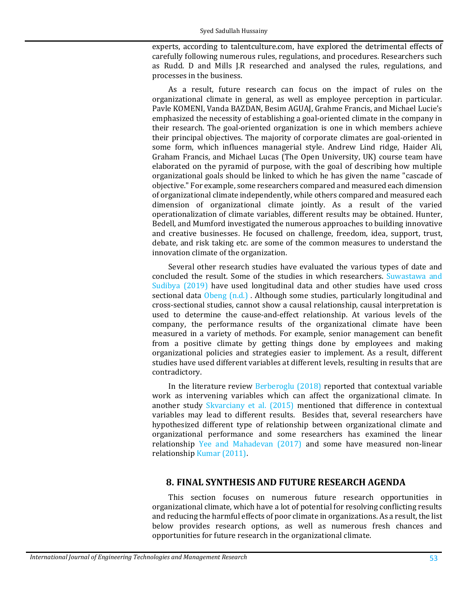experts, according to talentculture.com, have explored the detrimental effects of carefully following numerous rules, regulations, and procedures. Researchers such as Rudd. D and Mills J.R researched and analysed the rules, regulations, and processes in the business.

As a result, future research can focus on the impact of rules on the organizational climate in general, as well as employee perception in particular. Pavle KOMENI, Vanda BAZDAN, Besim AGUAJ, Grahme Francis, and Michael Lucie's emphasized the necessity of establishing a goal-oriented climate in the company in their research. The goal-oriented organization is one in which members achieve their principal objectives. The majority of corporate climates are goal-oriented in some form, which influences managerial style. Andrew Lind ridge, Haider Ali, Graham Francis, and Michael Lucas (The Open University, UK) course team have elaborated on the pyramid of purpose, with the goal of describing how multiple organizational goals should be linked to which he has given the name "cascade of objective." For example, some researchers compared and measured each dimension of organizational climate independently, while others compared and measured each dimension of organizational climate jointly. As a result of the varied operationalization of climate variables, different results may be obtained. Hunter, Bedell, and Mumford investigated the numerous approaches to building innovative and creative businesses. He focused on challenge, freedom, idea, support, trust, debate, and risk taking etc. are some of the common measures to understand the innovation climate of the organization.

Several other research studies have evaluated the various types of date and concluded the result. Some of the studies in which researchers. [Suwastawa and](#page-14-4)  [Sudibya \(2019\)](#page-14-4) have used longitudinal data and other studies have used cross sectional data [Obeng \(n.d.\) .](#page-16-4) Although some studies, particularly longitudinal and cross-sectional studies, cannot show a causal relationship, causal interpretation is used to determine the cause-and-effect relationship. At various levels of the company, the performance results of the organizational climate have been measured in a variety of methods. For example, senior management can benefit from a positive climate by getting things done by employees and making organizational policies and strategies easier to implement. As a result, different studies have used different variables at different levels, resulting in results that are contradictory.

In the literature review [Berberoglu \(2018\)](#page-13-1) reported that contextual variable work as intervening variables which can affect the organizational climate. In another study [Skvarciany et al. \(2015\)](#page-18-4) mentioned that difference in contextual variables may lead to different results. Besides that, several researchers have hypothesized different type of relationship between organizational climate and organizational performance and some researchers has examined the linear relationship [Yee and Mahadevan \(2017\)](#page-18-2) and some have measured non-linear relationship [Kumar \(2011\).](#page-18-0)

### **8. FINAL SYNTHESIS AND FUTURE RESEARCH AGENDA**

This section focuses on numerous future research opportunities in organizational climate, which have a lot of potential for resolving conflicting results and reducing the harmful effects of poor climate in organizations. As a result, the list below provides research options, as well as numerous fresh chances and opportunities for future research in the organizational climate.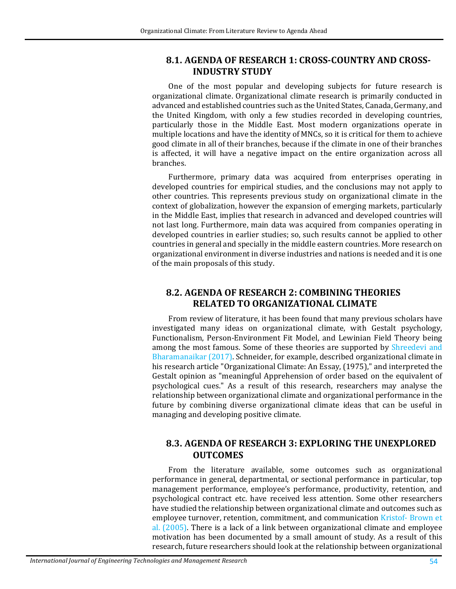### **8.1. AGENDA OF RESEARCH 1: CROSS-COUNTRY AND CROSS-INDUSTRY STUDY**

One of the most popular and developing subjects for future research is organizational climate. Organizational climate research is primarily conducted in advanced and established countries such as the United States, Canada, Germany, and the United Kingdom, with only a few studies recorded in developing countries, particularly those in the Middle East. Most modern organizations operate in multiple locations and have the identity of MNCs, so it is critical for them to achieve good climate in all of their branches, because if the climate in one of their branches is affected, it will have a negative impact on the entire organization across all branches.

Furthermore, primary data was acquired from enterprises operating in developed countries for empirical studies, and the conclusions may not apply to other countries. This represents previous study on organizational climate in the context of globalization, however the expansion of emerging markets, particularly in the Middle East, implies that research in advanced and developed countries will not last long. Furthermore, main data was acquired from companies operating in developed countries in earlier studies; so, such results cannot be applied to other countries in general and specially in the middle eastern countries. More research on organizational environment in diverse industries and nations is needed and it is one of the main proposals of this study.

# **8.2. AGENDA OF RESEARCH 2: COMBINING THEORIES RELATED TO ORGANIZATIONAL CLIMATE**

From review of literature, it has been found that many previous scholars have investigated many ideas on organizational climate, with Gestalt psychology, Functionalism, Person-Environment Fit Model, and Lewinian Field Theory being among the most famous. Some of these theories are supported by Shreedevi and [Bharamanaikar \(2017\).](#page-17-11) Schneider, for example, described organizational climate in his research article "Organizational Climate: An Essay, (1975)," and interpreted the Gestalt opinion as "meaningful Apprehension of order based on the equivalent of psychological cues." As a result of this research, researchers may analyse the relationship between organizational climate and organizational performance in the future by combining diverse organizational climate ideas that can be useful in managing and developing positive climate.

# **8.3. AGENDA OF RESEARCH 3: EXPLORING THE UNEXPLORED OUTCOMES**

From the literature available, some outcomes such as organizational performance in general, departmental, or sectional performance in particular, top management performance, employee's performance, productivity, retention, and psychological contract etc. have received less attention. Some other researchers have studied the relationship between organizational climate and outcomes such as employee turnover, retention, commitment, and communication [Kristof- Brown et](#page-15-6)  [al. \(2005\).](#page-15-6) There is a lack of a link between organizational climate and employee motivation has been documented by a small amount of study. As a result of this research, future researchers should look at the relationship between organizational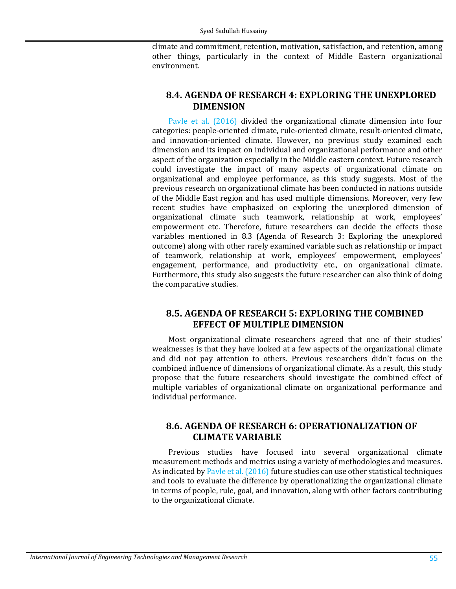climate and commitment, retention, motivation, satisfaction, and retention, among other things, particularly in the context of Middle Eastern organizational environment.

### **8.4. AGENDA OF RESEARCH 4: EXPLORING THE UNEXPLORED DIMENSION**

[Pavle et al. \(2016\)](#page-17-10) divided the organizational climate dimension into four categories: people-oriented climate, rule-oriented climate, result-oriented climate, and innovation-oriented climate. However, no previous study examined each dimension and its impact on individual and organizational performance and other aspect of the organization especially in the Middle eastern context. Future research could investigate the impact of many aspects of organizational climate on organizational and employee performance, as this study suggests. Most of the previous research on organizational climate has been conducted in nations outside of the Middle East region and has used multiple dimensions. Moreover, very few recent studies have emphasized on exploring the unexplored dimension of organizational climate such teamwork, relationship at work, employees' empowerment etc. Therefore, future researchers can decide the effects those variables mentioned in 8.3 (Agenda of Research 3: Exploring the unexplored outcome) along with other rarely examined variable such as relationship or impact of teamwork, relationship at work, employees' empowerment, employees' engagement, performance, and productivity etc., on organizational climate. Furthermore, this study also suggests the future researcher can also think of doing the comparative studies.

## **8.5. AGENDA OF RESEARCH 5: EXPLORING THE COMBINED EFFECT OF MULTIPLE DIMENSION**

Most organizational climate researchers agreed that one of their studies' weaknesses is that they have looked at a few aspects of the organizational climate and did not pay attention to others. Previous researchers didn't focus on the combined influence of dimensions of organizational climate. As a result, this study propose that the future researchers should investigate the combined effect of multiple variables of organizational climate on organizational performance and individual performance.

### **8.6. AGENDA OF RESEARCH 6: OPERATIONALIZATION OF CLIMATE VARIABLE**

Previous studies have focused into several organizational climate measurement methods and metrics using a variety of methodologies and measures. As indicated by [Pavle et al. \(2016\)](#page-17-10) future studies can use other statistical techniques and tools to evaluate the difference by operationalizing the organizational climate in terms of people, rule, goal, and innovation, along with other factors contributing to the organizational climate.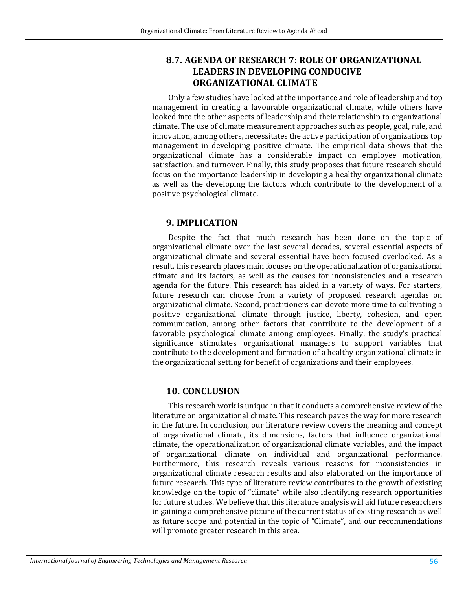### **8.7. AGENDA OF RESEARCH 7: ROLE OF ORGANIZATIONAL LEADERS IN DEVELOPING CONDUCIVE ORGANIZATIONAL CLIMATE**

Only a few studies have looked at the importance and role of leadership and top management in creating a favourable organizational climate, while others have looked into the other aspects of leadership and their relationship to organizational climate. The use of climate measurement approaches such as people, goal, rule, and innovation, among others, necessitates the active participation of organizations top management in developing positive climate. The empirical data shows that the organizational climate has a considerable impact on employee motivation, satisfaction, and turnover. Finally, this study proposes that future research should focus on the importance leadership in developing a healthy organizational climate as well as the developing the factors which contribute to the development of a positive psychological climate.

### **9. IMPLICATION**

Despite the fact that much research has been done on the topic of organizational climate over the last several decades, several essential aspects of organizational climate and several essential have been focused overlooked. As a result, this research places main focuses on the operationalization of organizational climate and its factors, as well as the causes for inconsistencies and a research agenda for the future. This research has aided in a variety of ways. For starters, future research can choose from a variety of proposed research agendas on organizational climate. Second, practitioners can devote more time to cultivating a positive organizational climate through justice, liberty, cohesion, and open communication, among other factors that contribute to the development of a favorable psychological climate among employees. Finally, the study's practical significance stimulates organizational managers to support variables that contribute to the development and formation of a healthy organizational climate in the organizational setting for benefit of organizations and their employees.

### **10. CONCLUSION**

This research work is unique in that it conducts a comprehensive review of the literature on organizational climate. This research paves the way for more research in the future. In conclusion, our literature review covers the meaning and concept of organizational climate, its dimensions, factors that influence organizational climate, the operationalization of organizational climate variables, and the impact of organizational climate on individual and organizational performance. Furthermore, this research reveals various reasons for inconsistencies in organizational climate research results and also elaborated on the importance of future research. This type of literature review contributes to the growth of existing knowledge on the topic of "climate" while also identifying research opportunities for future studies. We believe that this literature analysis will aid future researchers in gaining a comprehensive picture of the current status of existing research as well as future scope and potential in the topic of "Climate", and our recommendations will promote greater research in this area.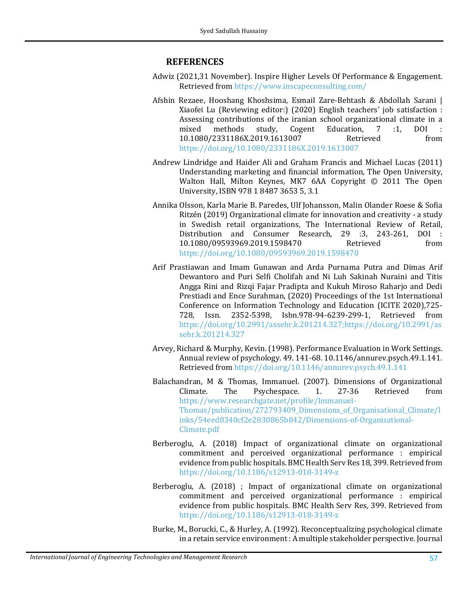### **REFERENCES**

- <span id="page-13-5"></span>Adwiz (2021,31 November). Inspire Higher Levels Of Performance & Engagement. Retrieved from <https://www.inscapeconsulting.com/>
- Afshin Rezaee, Hooshang Khoshsima, Esmail Zare-Behtash & Abdollah Sarani | Xiaofei Lu (Reviewing editor:) (2020) English teachers' job satisfaction : Assessing contributions of the iranian school organizational climate in a mixed methods study. Cogent Education. 7 :1. DOI : mixed methods study, Cogent Education, 7 :1, DOI : 10.1080/2331186X.2019.1613007 Retrieved from <https://doi.org/10.1080/2331186X.2019.1613007>
- Andrew Lindridge and Haider Ali and Graham Francis and Michael Lucas (2011) Understanding marketing and financial information, The Open University, Walton Hall, Milton Keynes, MK7 6AA Copyright © 2011 The Open University, ISBN 978 1 8487 3653 5, 3.1
- <span id="page-13-6"></span>Annika Olsson, Karla Marie B. Paredes, Ulf Johansson, Malin Olander Roese & Sofia Ritzén (2019) Organizational climate for innovation and creativity - a study in Swedish retail organizations, The International Review of Retail, Distribution and Consumer Research, 29 :3, 243-261, DOI : 10.1080/09593969.2019.1598470 <https://doi.org/10.1080/09593969.2019.1598470>
- <span id="page-13-2"></span>Arif Prastiawan and Imam Gunawan and Arda Purnama Putra and Dimas Arif Dewantoro and Puri Selfi Cholifah and Ni Luh Sakinah Nuraini and Titis Angga Rini and Rizqi Fajar Pradipta and Kukuh Miroso Raharjo and Dedi Prestiadi and Ence Surahman, (2020) Proceedings of the 1st International Conference on Information Technology and Education (ICITE 2020),725-<br>728. Issn. 2352-5398. Isbn.978-94-6239-299-1. Retrieved from 728, Issn. 2352-5398, Isbn.978-94-6239-299-1, [https://doi.org/10.2991/assehr.k.201214.327;https://doi.org/10.2991/as](https://doi.org/10.2991/assehr.k.201214.327;https:/doi.org/10.2991/assehr.k.201214.327) [sehr.k.201214.327](https://doi.org/10.2991/assehr.k.201214.327;https:/doi.org/10.2991/assehr.k.201214.327)
- <span id="page-13-0"></span>Arvey, Richard & Murphy, Kevin. (1998). Performance Evaluation in Work Settings. Annual review of psychology. 49. 141-68. 10.1146/annurev.psych.49.1.141. Retrieved from <https://doi.org/10.1146/annurev.psych.49.1.141>
- <span id="page-13-4"></span>Balachandran, M & Thomas, Immanuel. (2007). Dimensions of Organizational<br>Climate. The Psychespace. 1. 27-36 Retrieved from Climate. The Psychespace. 1. 27-36 Retrieved from [https://www.researchgate.net/profile/Immanuel-](https://www.researchgate.net/profile/Immanuel-Thomas/publication/272793409_Dimensions_of_Organisational_Climate/links/54eed8340cf2e2830865b842/Dimensions-of-Organisational-Climate.pdf)[Thomas/publication/272793409\\_Dimensions\\_of\\_Organisational\\_Climate/l](https://www.researchgate.net/profile/Immanuel-Thomas/publication/272793409_Dimensions_of_Organisational_Climate/links/54eed8340cf2e2830865b842/Dimensions-of-Organisational-Climate.pdf) [inks/54eed8340cf2e2830865b842/Dimensions-of-Organisational-](https://www.researchgate.net/profile/Immanuel-Thomas/publication/272793409_Dimensions_of_Organisational_Climate/links/54eed8340cf2e2830865b842/Dimensions-of-Organisational-Climate.pdf)[Climate.pdf](https://www.researchgate.net/profile/Immanuel-Thomas/publication/272793409_Dimensions_of_Organisational_Climate/links/54eed8340cf2e2830865b842/Dimensions-of-Organisational-Climate.pdf)
- Berberoglu, A. (2018) Impact of organizational climate on organizational commitment and perceived organizational performance : empirical evidence from public hospitals. BMC Health Serv Res 18, 399. Retrieved from <https://doi.org/10.1186/s12913-018-3149-z>
- <span id="page-13-1"></span>Berberoglu, A. (2018) ; Impact of organizational climate on organizational commitment and perceived organizational performance : empirical evidence from public hospitals. BMC Health Serv Res, 399. Retrieved from <https://doi.org/10.1186/s12913-018-3149-z>
- <span id="page-13-3"></span>Burke, M., Borucki, C., & Hurley, A. (1992). Reconceptualizing psychological climate in a retain service environment : A multiple stakeholder perspective. Journal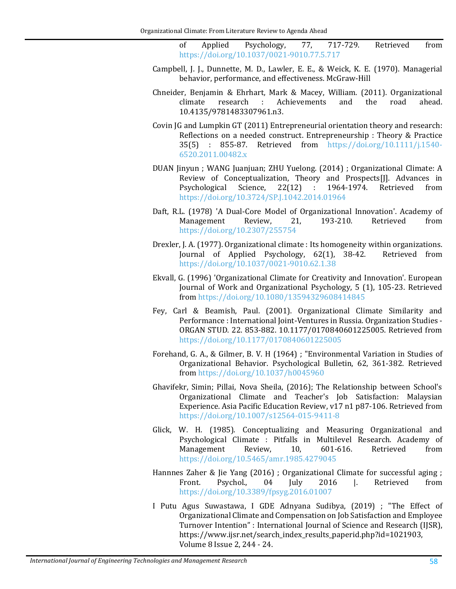of Applied Psychology, 77, 717-729. Retrieved from <https://doi.org/10.1037/0021-9010.77.5.717>

- <span id="page-14-6"></span>Campbell, J. J., Dunnette, M. D., Lawler, E. E., & Weick, K. E. (1970). Managerial behavior, performance, and effectiveness. McGraw-Hill
- <span id="page-14-2"></span>Chneider, Benjamin & Ehrhart, Mark & Macey, William. (2011). Organizational Achievements 10.4135/9781483307961.n3.
- <span id="page-14-10"></span>Covin JG and Lumpkin GT (2011) Entrepreneurial orientation theory and research: Reflections on a needed construct. Entrepreneurship : Theory & Practice 35(5) :  $855-87$ . Retrieved from https://doi.org/10.1111/j.1540Retrieved from [https://doi.org/10.1111/j.1540-](https://doi.org/10.1111/j.1540-6520.2011.00482.x) [6520.2011.00482.x](https://doi.org/10.1111/j.1540-6520.2011.00482.x)
- <span id="page-14-1"></span>DUAN Jinyun ; WANG Juanjuan; ZHU Yuelong. (2014) ; Organizational Climate: A Review of Conceptualization, Theory and Prospects[J]. Advances in Psychological Science, 22(12) : 1964-1974. Retrieved from Psychological Science, 22(12) : 1964-1974. Retrieved from <https://doi.org/10.3724/SP.J.1042.2014.01964>
- <span id="page-14-9"></span>Daft, R.L. (1978) 'A Dual-Core Model of Organizational Innovation'. Academy of<br>Management Review, 21, 193-210. Retrieved from Management <https://doi.org/10.2307/255754>
- <span id="page-14-8"></span>Drexler, J. A. (1977). Organizational climate : Its homogeneity within organizations.<br>Journal of Applied Psychology, 62(1), 38-42. Retrieved from Journal of Applied Psychology,  $62(1)$ ,  $38-42$ . <https://doi.org/10.1037/0021-9010.62.1.38>
- <span id="page-14-11"></span>Ekvall, G. (1996) 'Organizational Climate for Creativity and Innovation'. European Journal of Work and Organizational Psychology, 5 (1), 105-23. Retrieved from <https://doi.org/10.1080/13594329608414845>
- <span id="page-14-7"></span>Fey, Carl & Beamish, Paul. (2001). Organizational Climate Similarity and Performance : International Joint-Ventures in Russia. Organization Studies - ORGAN STUD. 22. 853-882. 10.1177/0170840601225005. Retrieved from <https://doi.org/10.1177/0170840601225005>
- <span id="page-14-0"></span>Forehand, G. A., & Gilmer, B. V. H (1964) ; "Environmental Variation in Studies of Organizational Behavior. Psychological Bulletin, 62, 361-382. Retrieved from <https://doi.org/10.1037/h0045960>
- Ghavifekr, Simin; Pillai, Nova Sheila, (2016); The Relationship between School's Organizational Climate and Teacher's Job Satisfaction: Malaysian Experience. Asia Pacific Education Review, v17 n1 p87-106. Retrieved from <https://doi.org/10.1007/s12564-015-9411-8>
- <span id="page-14-5"></span>Glick, W. H. (1985). Conceptualizing and Measuring Organizational and Psychological Climate : Pitfalls in Multilevel Research. Academy of Management Review, 10, 601-616. Retrieved from Management <https://doi.org/10.5465/amr.1985.4279045>
- <span id="page-14-3"></span>Hannnes Zaher & Jie Yang (2016) ; Organizational Climate for successful aging ;<br>Front. Psychol., 04 July 2016 |. Retrieved from Front. Psychol., 04 July 2016 |. Retrieved from <https://doi.org/10.3389/fpsyg.2016.01007>
- <span id="page-14-4"></span>I Putu Agus Suwastawa, I GDE Adnyana Sudibya, (2019) ; "The Effect of Organizational Climate and Compensation on Job Satisfaction and Employee Turnover Intention" : International Journal of Science and Research (IJSR), https://www.ijsr.net/search\_index\_results\_paperid.php?id=1021903, Volume 8 Issue 2, 244 - 24.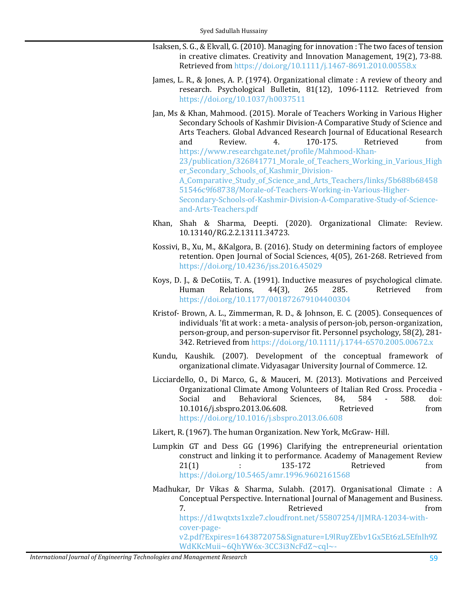- <span id="page-15-10"></span>Isaksen, S. G., & Ekvall, G. (2010). Managing for innovation : The two faces of tension in creative climates. Creativity and Innovation Management, 19(2), 73-88. Retrieved from <https://doi.org/10.1111/j.1467-8691.2010.00558.x>
- <span id="page-15-3"></span>James, L. R., & Jones, A. P. (1974). Organizational climate : A review of theory and research. Psychological Bulletin, 81(12), 1096-1112. Retrieved from <https://doi.org/10.1037/h0037511>
- <span id="page-15-5"></span>Jan, Ms & Khan, Mahmood. (2015). Morale of Teachers Working in Various Higher Secondary Schools of Kashmir Division-A Comparative Study of Science and Arts Teachers. Global Advanced Research Journal of Educational Research<br>and Review 4. 170-175. Retrieved from and Review. 4. 170-175. Retrieved from [https://www.researchgate.net/profile/Mahmood-Khan-](https://www.researchgate.net/profile/Mahmood-Khan-23/publication/326841771_Morale_of_Teachers_Working_in_Various_Higher_Secondary_Schools_of_Kashmir_Division-A_Comparative_Study_of_Science_and_Arts_Teachers/links/5b688b6845851546c9f68738/Morale-of-Teachers-Working-in-Various-Higher-Secondary-Schools-of-Kashmir-Division-A-Comparative-Study-of-Science-and-Arts-Teachers.pdf)23/publication/326841771 Morale of Teachers Working in Various High er Secondary Schools of Kashmir Division-A Comparative Study of Science and Arts Teachers/links/5b688b68458 [51546c9f68738/Morale-of-Teachers-Working-in-Various-Higher-](https://www.researchgate.net/profile/Mahmood-Khan-23/publication/326841771_Morale_of_Teachers_Working_in_Various_Higher_Secondary_Schools_of_Kashmir_Division-A_Comparative_Study_of_Science_and_Arts_Teachers/links/5b688b6845851546c9f68738/Morale-of-Teachers-Working-in-Various-Higher-Secondary-Schools-of-Kashmir-Division-A-Comparative-Study-of-Science-and-Arts-Teachers.pdf)[Secondary-Schools-of-Kashmir-Division-A-Comparative-Study-of-Science](https://www.researchgate.net/profile/Mahmood-Khan-23/publication/326841771_Morale_of_Teachers_Working_in_Various_Higher_Secondary_Schools_of_Kashmir_Division-A_Comparative_Study_of_Science_and_Arts_Teachers/links/5b688b6845851546c9f68738/Morale-of-Teachers-Working-in-Various-Higher-Secondary-Schools-of-Kashmir-Division-A-Comparative-Study-of-Science-and-Arts-Teachers.pdf)[and-Arts-Teachers.pdf](https://www.researchgate.net/profile/Mahmood-Khan-23/publication/326841771_Morale_of_Teachers_Working_in_Various_Higher_Secondary_Schools_of_Kashmir_Division-A_Comparative_Study_of_Science_and_Arts_Teachers/links/5b688b6845851546c9f68738/Morale-of-Teachers-Working-in-Various-Higher-Secondary-Schools-of-Kashmir-Division-A-Comparative-Study-of-Science-and-Arts-Teachers.pdf)
- <span id="page-15-4"></span>Khan, Shah & Sharma, Deepti. (2020). Organizational Climate: Review. 10.13140/RG.2.2.13111.34723.
- <span id="page-15-0"></span>Kossivi, B., Xu, M., &Kalgora, B. (2016). Study on determining factors of employee retention. Open Journal of Social Sciences, 4(05), 261-268. Retrieved from <https://doi.org/10.4236/jss.2016.45029>
- <span id="page-15-8"></span>Koys, D. J., & DeCotiis, T. A. (1991). Inductive measures of psychological climate. Human Relations, 44(3), 265 285. Retrieved from <https://doi.org/10.1177/001872679104400304>
- <span id="page-15-6"></span>Kristof- Brown, A. L., Zimmerman, R. D., & Johnson, E. C. (2005). Consequences of individuals 'fit at work : a meta- analysis of person-job, person-organization, person-group, and person-supervisor fit. Personnel psychology, 58(2), 281- 342. Retrieved from <https://doi.org/10.1111/j.1744-6570.2005.00672.x>
- <span id="page-15-1"></span>Kundu, Kaushik. (2007). Development of the conceptual framework of organizational climate. Vidyasagar University Journal of Commerce. 12.
- Licciardello, O., Di Marco, G., & Mauceri, M. (2013). Motivations and Perceived Organizational Climate Among Volunteers of Italian Red Cross. Procedia -<br>Social and Behavioral Sciences. 84. 584 - 588. doi: Social and Behavioral Sciences, 84, 584 - 588. doi: 10.1016/j.sbspro.2013.06.608. Retrieved from <https://doi.org/10.1016/j.sbspro.2013.06.608>

Likert, R. (1967). The human Organization. New York, McGraw- Hill.

- <span id="page-15-9"></span><span id="page-15-7"></span>Lumpkin GT and Dess GG (1996) Clarifying the entrepreneurial orientation construct and linking it to performance. Academy of Management Review<br>21(1)  $\cdot$  135-172 Retrieved from 21(1) : 135-172 Retrieved from <https://doi.org/10.5465/amr.1996.9602161568>
- <span id="page-15-2"></span>Madhukar, Dr Vikas & Sharma, Sulabh. (2017). Organisational Climate : A Conceptual Perspective. International Journal of Management and Business. 7. The results of the Retrieved from the from  $\mathbb{R}^n$ [https://d1wqtxts1xzle7.cloudfront.net/55807254/IJMRA-12034-with](https://d1wqtxts1xzle7.cloudfront.net/55807254/IJMRA-12034-with-cover-page-v2.pdf?Expires=1643872075&Signature=L9lRuyZEbv1Gx5Et6zL5Efnlh9ZWdKKcMuii%7E6QhYW6x-3CC3i3NcFdZ%7Ecql%7E-fSbcTTdUE6rvOQ1PhqlYLmKEl20595s-R8ZNZ%7EYDJydHg2bjPoqK4FyNOyc2h5Fk-unUE34livSjk7HqG5KgjsFoI-1o330hIdMwB6X9QzCzmSHYq29C1ggUfnpleoNbf5MPeGRGD0ZnE-ST6ym-1unVBH16h7X6iwfhQZvg2YiS3kakJ5wN4-Quz7kFM%7ECsyKbhFYziWrV32PJ5jDwJTgoFeIVwkABigM8rPKxMMNWA7D8nr%7ExJBw%7EVCW%7EmPSjaoB6du-eqD7P92HfYWsrDUAkg__&Key-Pair-Id=APKAJLOHF5GGSLRBV4ZA)cover-page[v2.pdf?Expires=1643872075&Signature=L9lRuyZEbv1Gx5Et6zL5Efnlh9Z](https://d1wqtxts1xzle7.cloudfront.net/55807254/IJMRA-12034-with-cover-page-v2.pdf?Expires=1643872075&Signature=L9lRuyZEbv1Gx5Et6zL5Efnlh9ZWdKKcMuii%7E6QhYW6x-3CC3i3NcFdZ%7Ecql%7E-fSbcTTdUE6rvOQ1PhqlYLmKEl20595s-R8ZNZ%7EYDJydHg2bjPoqK4FyNOyc2h5Fk-unUE34livSjk7HqG5KgjsFoI-1o330hIdMwB6X9QzCzmSHYq29C1ggUfnpleoNbf5MPeGRGD0ZnE-ST6ym-1unVBH16h7X6iwfhQZvg2YiS3kakJ5wN4-Quz7kFM%7ECsyKbhFYziWrV32PJ5jDwJTgoFeIVwkABigM8rPKxMMNWA7D8nr%7ExJBw%7EVCW%7EmPSjaoB6du-eqD7P92HfYWsrDUAkg__&Key-Pair-Id=APKAJLOHF5GGSLRBV4ZA) [WdKKcMuii~6QhYW6x-3CC3i3NcFdZ~cql~-](https://d1wqtxts1xzle7.cloudfront.net/55807254/IJMRA-12034-with-cover-page-v2.pdf?Expires=1643872075&Signature=L9lRuyZEbv1Gx5Et6zL5Efnlh9ZWdKKcMuii%7E6QhYW6x-3CC3i3NcFdZ%7Ecql%7E-fSbcTTdUE6rvOQ1PhqlYLmKEl20595s-R8ZNZ%7EYDJydHg2bjPoqK4FyNOyc2h5Fk-unUE34livSjk7HqG5KgjsFoI-1o330hIdMwB6X9QzCzmSHYq29C1ggUfnpleoNbf5MPeGRGD0ZnE-ST6ym-1unVBH16h7X6iwfhQZvg2YiS3kakJ5wN4-Quz7kFM%7ECsyKbhFYziWrV32PJ5jDwJTgoFeIVwkABigM8rPKxMMNWA7D8nr%7ExJBw%7EVCW%7EmPSjaoB6du-eqD7P92HfYWsrDUAkg__&Key-Pair-Id=APKAJLOHF5GGSLRBV4ZA)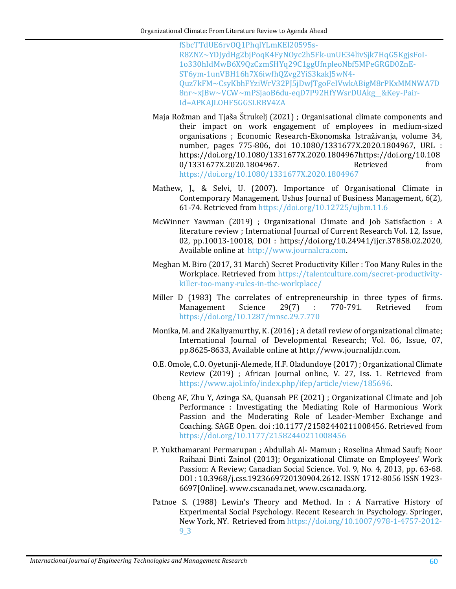[fSbcTTdUE6rvOQ1PhqlYLmKEl20595s-](https://d1wqtxts1xzle7.cloudfront.net/55807254/IJMRA-12034-with-cover-page-v2.pdf?Expires=1643872075&Signature=L9lRuyZEbv1Gx5Et6zL5Efnlh9ZWdKKcMuii%7E6QhYW6x-3CC3i3NcFdZ%7Ecql%7E-fSbcTTdUE6rvOQ1PhqlYLmKEl20595s-R8ZNZ%7EYDJydHg2bjPoqK4FyNOyc2h5Fk-unUE34livSjk7HqG5KgjsFoI-1o330hIdMwB6X9QzCzmSHYq29C1ggUfnpleoNbf5MPeGRGD0ZnE-ST6ym-1unVBH16h7X6iwfhQZvg2YiS3kakJ5wN4-Quz7kFM%7ECsyKbhFYziWrV32PJ5jDwJTgoFeIVwkABigM8rPKxMMNWA7D8nr%7ExJBw%7EVCW%7EmPSjaoB6du-eqD7P92HfYWsrDUAkg__&Key-Pair-Id=APKAJLOHF5GGSLRBV4ZA)[R8ZNZ~YDJydHg2bjPoqK4FyNOyc2h5Fk-unUE34livSjk7HqG5KgjsFoI-](https://d1wqtxts1xzle7.cloudfront.net/55807254/IJMRA-12034-with-cover-page-v2.pdf?Expires=1643872075&Signature=L9lRuyZEbv1Gx5Et6zL5Efnlh9ZWdKKcMuii%7E6QhYW6x-3CC3i3NcFdZ%7Ecql%7E-fSbcTTdUE6rvOQ1PhqlYLmKEl20595s-R8ZNZ%7EYDJydHg2bjPoqK4FyNOyc2h5Fk-unUE34livSjk7HqG5KgjsFoI-1o330hIdMwB6X9QzCzmSHYq29C1ggUfnpleoNbf5MPeGRGD0ZnE-ST6ym-1unVBH16h7X6iwfhQZvg2YiS3kakJ5wN4-Quz7kFM%7ECsyKbhFYziWrV32PJ5jDwJTgoFeIVwkABigM8rPKxMMNWA7D8nr%7ExJBw%7EVCW%7EmPSjaoB6du-eqD7P92HfYWsrDUAkg__&Key-Pair-Id=APKAJLOHF5GGSLRBV4ZA)[1o330hIdMwB6X9QzCzmSHYq29C1ggUfnpleoNbf5MPeGRGD0ZnE-](https://d1wqtxts1xzle7.cloudfront.net/55807254/IJMRA-12034-with-cover-page-v2.pdf?Expires=1643872075&Signature=L9lRuyZEbv1Gx5Et6zL5Efnlh9ZWdKKcMuii%7E6QhYW6x-3CC3i3NcFdZ%7Ecql%7E-fSbcTTdUE6rvOQ1PhqlYLmKEl20595s-R8ZNZ%7EYDJydHg2bjPoqK4FyNOyc2h5Fk-unUE34livSjk7HqG5KgjsFoI-1o330hIdMwB6X9QzCzmSHYq29C1ggUfnpleoNbf5MPeGRGD0ZnE-ST6ym-1unVBH16h7X6iwfhQZvg2YiS3kakJ5wN4-Quz7kFM%7ECsyKbhFYziWrV32PJ5jDwJTgoFeIVwkABigM8rPKxMMNWA7D8nr%7ExJBw%7EVCW%7EmPSjaoB6du-eqD7P92HfYWsrDUAkg__&Key-Pair-Id=APKAJLOHF5GGSLRBV4ZA)[ST6ym-1unVBH16h7X6iwfhQZvg2YiS3kakJ5wN4-](https://d1wqtxts1xzle7.cloudfront.net/55807254/IJMRA-12034-with-cover-page-v2.pdf?Expires=1643872075&Signature=L9lRuyZEbv1Gx5Et6zL5Efnlh9ZWdKKcMuii%7E6QhYW6x-3CC3i3NcFdZ%7Ecql%7E-fSbcTTdUE6rvOQ1PhqlYLmKEl20595s-R8ZNZ%7EYDJydHg2bjPoqK4FyNOyc2h5Fk-unUE34livSjk7HqG5KgjsFoI-1o330hIdMwB6X9QzCzmSHYq29C1ggUfnpleoNbf5MPeGRGD0ZnE-ST6ym-1unVBH16h7X6iwfhQZvg2YiS3kakJ5wN4-Quz7kFM%7ECsyKbhFYziWrV32PJ5jDwJTgoFeIVwkABigM8rPKxMMNWA7D8nr%7ExJBw%7EVCW%7EmPSjaoB6du-eqD7P92HfYWsrDUAkg__&Key-Pair-Id=APKAJLOHF5GGSLRBV4ZA) [Quz7kFM~CsyKbhFYziWrV32PJ5jDwJTgoFeIVwkABigM8rPKxMMNWA7D](https://d1wqtxts1xzle7.cloudfront.net/55807254/IJMRA-12034-with-cover-page-v2.pdf?Expires=1643872075&Signature=L9lRuyZEbv1Gx5Et6zL5Efnlh9ZWdKKcMuii%7E6QhYW6x-3CC3i3NcFdZ%7Ecql%7E-fSbcTTdUE6rvOQ1PhqlYLmKEl20595s-R8ZNZ%7EYDJydHg2bjPoqK4FyNOyc2h5Fk-unUE34livSjk7HqG5KgjsFoI-1o330hIdMwB6X9QzCzmSHYq29C1ggUfnpleoNbf5MPeGRGD0ZnE-ST6ym-1unVBH16h7X6iwfhQZvg2YiS3kakJ5wN4-Quz7kFM%7ECsyKbhFYziWrV32PJ5jDwJTgoFeIVwkABigM8rPKxMMNWA7D8nr%7ExJBw%7EVCW%7EmPSjaoB6du-eqD7P92HfYWsrDUAkg__&Key-Pair-Id=APKAJLOHF5GGSLRBV4ZA) [8nr~xJBw~VCW~mPSjaoB6du-eqD7P92HfYWsrDUAkg\\_\\_&Key-Pair-](https://d1wqtxts1xzle7.cloudfront.net/55807254/IJMRA-12034-with-cover-page-v2.pdf?Expires=1643872075&Signature=L9lRuyZEbv1Gx5Et6zL5Efnlh9ZWdKKcMuii%7E6QhYW6x-3CC3i3NcFdZ%7Ecql%7E-fSbcTTdUE6rvOQ1PhqlYLmKEl20595s-R8ZNZ%7EYDJydHg2bjPoqK4FyNOyc2h5Fk-unUE34livSjk7HqG5KgjsFoI-1o330hIdMwB6X9QzCzmSHYq29C1ggUfnpleoNbf5MPeGRGD0ZnE-ST6ym-1unVBH16h7X6iwfhQZvg2YiS3kakJ5wN4-Quz7kFM%7ECsyKbhFYziWrV32PJ5jDwJTgoFeIVwkABigM8rPKxMMNWA7D8nr%7ExJBw%7EVCW%7EmPSjaoB6du-eqD7P92HfYWsrDUAkg__&Key-Pair-Id=APKAJLOHF5GGSLRBV4ZA)[Id=APKAJLOHF5GGSLRBV4ZA](https://d1wqtxts1xzle7.cloudfront.net/55807254/IJMRA-12034-with-cover-page-v2.pdf?Expires=1643872075&Signature=L9lRuyZEbv1Gx5Et6zL5Efnlh9ZWdKKcMuii%7E6QhYW6x-3CC3i3NcFdZ%7Ecql%7E-fSbcTTdUE6rvOQ1PhqlYLmKEl20595s-R8ZNZ%7EYDJydHg2bjPoqK4FyNOyc2h5Fk-unUE34livSjk7HqG5KgjsFoI-1o330hIdMwB6X9QzCzmSHYq29C1ggUfnpleoNbf5MPeGRGD0ZnE-ST6ym-1unVBH16h7X6iwfhQZvg2YiS3kakJ5wN4-Quz7kFM%7ECsyKbhFYziWrV32PJ5jDwJTgoFeIVwkABigM8rPKxMMNWA7D8nr%7ExJBw%7EVCW%7EmPSjaoB6du-eqD7P92HfYWsrDUAkg__&Key-Pair-Id=APKAJLOHF5GGSLRBV4ZA)

- <span id="page-16-5"></span>Maja Rožman and Tjaša Štrukelj (2021) ; Organisational climate components and their impact on work engagement of employees in medium-sized organisations ; Economic Research-Ekonomska Istraživanja, volume 34, number, pages 775-806, doi 10.1080/1331677X.2020.1804967, URL : https://doi.org/10.1080/1331677X.2020.1804967https://doi.org/10.108 0/1331677X.2020.1804967. <https://doi.org/10.1080/1331677X.2020.1804967>
- <span id="page-16-0"></span>Mathew, J., & Selvi, U. (2007). Importance of Organisational Climate in Contemporary Management. Ushus Journal of Business Management, 6(2), 61-74. Retrieved from <https://doi.org/10.12725/ujbm.11.6>
- <span id="page-16-3"></span>McWinner Yawman (2019) ; Organizational Climate and Job Satisfaction : A literature review ; International Journal of Current Research Vol. 12, Issue, 02, pp.10013-10018, DOI : https://doi.org/10.24941/ijcr.37858.02.2020, Available online at [http://www.journalcra.com.](http://www.journalcra.com/)
- Meghan M. Biro (2017, 31 March) Secret Productivity Killer : Too Many Rules in the Workplace. Retrieved from [https://talentculture.com/secret-productivity](https://talentculture.com/secret-productivity-killer-too-many-rules-in-the-workplace/)[killer-too-many-rules-in-the-workplace/](https://talentculture.com/secret-productivity-killer-too-many-rules-in-the-workplace/)
- <span id="page-16-6"></span>Miller D (1983) The correlates of entrepreneurship in three types of firms.<br>Management Science 29(7) : 770-791. Retrieved from Management Science 29(7) : <https://doi.org/10.1287/mnsc.29.7.770>
- Monika, M. and 2Kaliyamurthy, K. (2016) ; A detail review of organizational climate; International Journal of Developmental Research; Vol. 06, Issue, 07, pp.8625-8633, Available online at http://www.journalijdr.com.
- <span id="page-16-2"></span>O.E. Omole, C.O. Oyetunji-Alemede, H.F. Oladundoye (2017) ; Organizational Climate Review (2019) ; African Journal online, V. 27, Iss. 1. Retrieved from [https://www.ajol.info/index.php/ifep/article/view/185696.](https://www.ajol.info/index.php/ifep/article/view/185696)
- <span id="page-16-4"></span>Obeng AF, Zhu Y, Azinga SA, Quansah PE (2021) ; Organizational Climate and Job Performance : Investigating the Mediating Role of Harmonious Work Passion and the Moderating Role of Leader-Member Exchange and Coaching. SAGE Open. doi :10.1177/21582440211008456. Retrieved from <https://doi.org/10.1177/21582440211008456>
- <span id="page-16-1"></span>P. Yukthamarani Permarupan ; Abdullah Al- Mamun ; Roselina Ahmad Saufi; Noor Raihani Binti Zainol (2013); Organizational Climate on Employees' Work Passion: A Review; Canadian Social Science. Vol. 9, No. 4, 2013, pp. 63-68. DOI : 10.3968/j.css.1923669720130904.2612. ISSN 1712-8056 ISSN 1923- 6697[Online]. www.cscanada.net, www.cscanada.org.
- Patnoe S. (1988) Lewin's Theory and Method. In : A Narrative History of Experimental Social Psychology. Recent Research in Psychology. Springer, New York, NY. Retrieved from [https://doi.org/10.1007/978-1-4757-2012-](https://doi.org/10.1007/978-1-4757-2012-9_3) [9\\_3](https://doi.org/10.1007/978-1-4757-2012-9_3)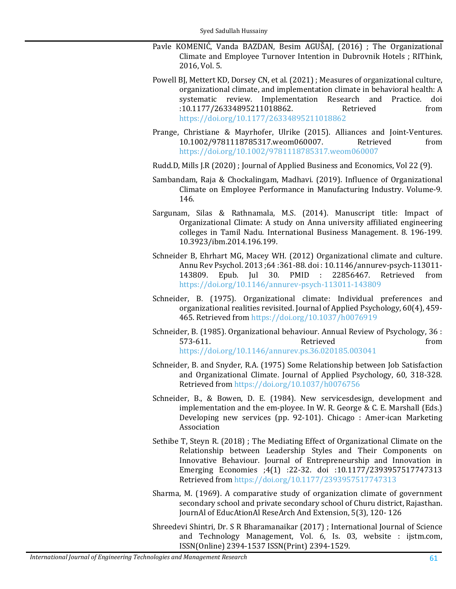- <span id="page-17-10"></span>Pavle KOMENIĆ, Vanda BAZDAN, Besim AGUŠAJ, (2016) ; The Organizational Climate and Employee Turnover Intention in Dubrovnik Hotels ; RIThink, 2016, Vol. 5.
- <span id="page-17-3"></span>Powell BJ, Mettert KD, Dorsey CN, et al. (2021) ; Measures of organizational culture, organizational climate, and implementation climate in behavioral health: A systematic review. Implementation Research and Practice. doi<br>:10.1177/26334895211018862. Retrieved from :10.1177/26334895211018862. <https://doi.org/10.1177/26334895211018862>
- <span id="page-17-0"></span>Prange, Christiane & Mayrhofer, Ulrike (2015). Alliances and Joint-Ventures.<br>10.1002/9781118785317.weom060007. Retrieved from 10.1002/9781118785317.weom060007. <https://doi.org/10.1002/9781118785317.weom060007>
- Rudd.D, Mills J.R (2020) ; Journal of Applied Business and Economics, Vol 22 (9).
- <span id="page-17-9"></span><span id="page-17-6"></span>Sambandam, Raja & Chockalingam, Madhavi. (2019). Influence of Organizational Climate on Employee Performance in Manufacturing Industry. Volume-9. 146.
- <span id="page-17-4"></span>Sargunam, Silas & Rathnamala, M.S. (2014). Manuscript title: Impact of Organizational Climate: A study on Anna university affiliated engineering colleges in Tamil Nadu. International Business Management. 8. 196-199. 10.3923/ibm.2014.196.199.
- <span id="page-17-2"></span>Schneider B, Ehrhart MG, Macey WH. (2012) Organizational climate and culture. Annu Rev Psychol. 2013 ;64 :361-88. doi : 10.1146/annurev-psych-113011- 143809. Epub. Jul 30. PMID : 22856467. Retrieved from <https://doi.org/10.1146/annurev-psych-113011-143809>
- <span id="page-17-7"></span>Schneider, B. (1975). Organizational climate: Individual preferences and organizational realities revisited. Journal of Applied Psychology, 60(4), 459- 465. Retrieved from <https://doi.org/10.1037/h0076919>
- <span id="page-17-1"></span>Schneider, B. (1985). Organizational behaviour. Annual Review of Psychology, 36 : 573-611. Retrieved from <https://doi.org/10.1146/annurev.ps.36.020185.003041>
- <span id="page-17-8"></span>Schneider, B. and Snyder, R.A. (1975) Some Relationship between Job Satisfaction and Organizational Climate. Journal of Applied Psychology, 60, 318-328. Retrieved from <https://doi.org/10.1037/h0076756>
- Schneider, B., & Bowen, D. E. (1984). New servicesdesign, development and implementation and the em-ployee. In W. R. George & C. E. Marshall (Eds.) Developing new services (pp. 92-101). Chicago : Amer-ican Marketing Association
- Sethibe T, Steyn R. (2018) ; The Mediating Effect of Organizational Climate on the Relationship between Leadership Styles and Their Components on Innovative Behaviour. Journal of Entrepreneurship and Innovation in Emerging Economies ;4(1) :22-32. doi :10.1177/2393957517747313 Retrieved from <https://doi.org/10.1177/2393957517747313>
- <span id="page-17-5"></span>Sharma, M. (1969). A comparative study of organization climate of government secondary school and private secondary school of Churu district, Rajasthan. JournAl of EducAtionAl ReseArch And Extension, 5(3), 120- 126
- <span id="page-17-11"></span>Shreedevi Shintri, Dr. S R Bharamanaikar (2017) ; International Journal of Science and Technology Management, Vol. 6, Is. 03, website : ijstm.com, ISSN(Online) 2394-1537 ISSN(Print) 2394-1529.